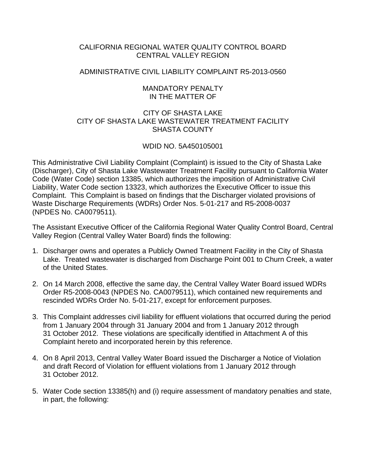# CALIFORNIA REGIONAL WATER QUALITY CONTROL BOARD CENTRAL VALLEY REGION

# ADMINISTRATIVE CIVIL LIABILITY COMPLAINT R5-2013-0560

### MANDATORY PENALTY IN THE MATTER OF

# CITY OF SHASTA LAKE CITY OF SHASTA LAKE WASTEWATER TREATMENT FACILITY SHASTA COUNTY

# WDID NO. 5A450105001

This Administrative Civil Liability Complaint (Complaint) is issued to the City of Shasta Lake (Discharger), City of Shasta Lake Wastewater Treatment Facility pursuant to California Water Code (Water Code) section 13385, which authorizes the imposition of Administrative Civil Liability, Water Code section 13323, which authorizes the Executive Officer to issue this Complaint. This Complaint is based on findings that the Discharger violated provisions of Waste Discharge Requirements (WDRs) Order Nos. 5-01-217 and R5-2008-0037 (NPDES No. CA0079511).

The Assistant Executive Officer of the California Regional Water Quality Control Board, Central Valley Region (Central Valley Water Board) finds the following:

- 1. Discharger owns and operates a Publicly Owned Treatment Facility in the City of Shasta Lake. Treated wastewater is discharged from Discharge Point 001 to Churn Creek, a water of the United States.
- 2. On 14 March 2008, effective the same day, the Central Valley Water Board issued WDRs Order R5-2008-0043 (NPDES No. CA0079511), which contained new requirements and rescinded WDRs Order No. 5-01-217, except for enforcement purposes.
- 3. This Complaint addresses civil liability for effluent violations that occurred during the period from 1 January 2004 through 31 January 2004 and from 1 January 2012 through 31 October 2012. These violations are specifically identified in Attachment A of this Complaint hereto and incorporated herein by this reference.
- 4. On 8 April 2013, Central Valley Water Board issued the Discharger a Notice of Violation and draft Record of Violation for effluent violations from 1 January 2012 through 31 October 2012.
- 5. Water Code section 13385(h) and (i) require assessment of mandatory penalties and state, in part, the following: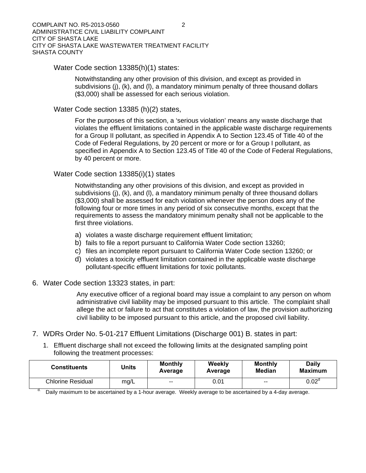Water Code section 13385(h)(1) states:

Notwithstanding any other provision of this division, and except as provided in subdivisions (j), (k), and (l), a mandatory minimum penalty of three thousand dollars (\$3,000) shall be assessed for each serious violation.

Water Code section 13385 (h)(2) states,

For the purposes of this section, a 'serious violation' means any waste discharge that violates the effluent limitations contained in the applicable waste discharge requirements for a Group II pollutant, as specified in Appendix A to Section 123.45 of Title 40 of the Code of Federal Regulations, by 20 percent or more or for a Group I pollutant, as specified in Appendix A to Section 123.45 of Title 40 of the Code of Federal Regulations, by 40 percent or more.

### Water Code section 13385(i)(1) states

Notwithstanding any other provisions of this division, and except as provided in subdivisions (j), (k), and (l), a mandatory minimum penalty of three thousand dollars (\$3,000) shall be assessed for each violation whenever the person does any of the following four or more times in any period of six consecutive months, except that the requirements to assess the mandatory minimum penalty shall not be applicable to the first three violations.

- a) violates a waste discharge requirement effluent limitation;
- b) fails to file a report pursuant to California Water Code section 13260;
- c) files an incomplete report pursuant to California Water Code section 13260; or
- d) violates a toxicity effluent limitation contained in the applicable waste discharge pollutant-specific effluent limitations for toxic pollutants.
- 6. Water Code section 13323 states, in part:

Any executive officer of a regional board may issue a complaint to any person on whom administrative civil liability may be imposed pursuant to this article. The complaint shall allege the act or failure to act that constitutes a violation of law, the provision authorizing civil liability to be imposed pursuant to this article, and the proposed civil liability.

- 7. WDRs Order No. 5-01-217 Effluent Limitations (Discharge 001) B. states in part:
	- 1. Effluent discharge shall not exceed the following limits at the designated sampling point following the treatment processes:

| <b>Constituents</b>      | Units | <b>Monthly</b><br>Average | Weekly<br>Average | <b>Monthly</b><br>Median | <b>Daily</b><br><b>Maximum</b> |  |
|--------------------------|-------|---------------------------|-------------------|--------------------------|--------------------------------|--|
| <b>Chlorine Residual</b> | mg/L  | $\overline{\phantom{a}}$  | 0.01              | $\overline{\phantom{a}}$ | 0.02 <sup>d</sup>              |  |

Daily maximum to be ascertained by a 1-hour average. Weekly average to be ascertained by a 4-day average.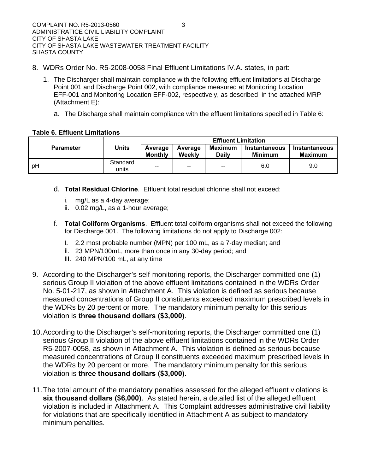- 8. WDRs Order No. R5-2008-0058 Final Effluent Limitations IV.A. states, in part:
	- 1. The Discharger shall maintain compliance with the following effluent limitations at Discharge Point 001 and Discharge Point 002, with compliance measured at Monitoring Location EFF-001 and Monitoring Location EFF-002, respectively, as described in the attached MRP (Attachment E):
		- a. The Discharge shall maintain compliance with the effluent limitations specified in Table 6:

### **Table 6. Effluent Limitations**

|                  | Units             | <b>Effluent Limitation</b> |                   |                                |                                 |                                        |  |
|------------------|-------------------|----------------------------|-------------------|--------------------------------|---------------------------------|----------------------------------------|--|
| <b>Parameter</b> |                   | Average<br><b>Monthly</b>  | Average<br>Weekly | <b>Maximum</b><br><b>Daily</b> | <b>Instantaneous</b><br>Minimum | <b>Instantaneous</b><br><b>Maximum</b> |  |
| ∣ pH             | Standard<br>units | $\overline{\phantom{a}}$   | $- -$             | $\overline{\phantom{a}}$       | 6.0                             | 9.0                                    |  |

- d. **Total Residual Chlorine**. Effluent total residual chlorine shall not exceed:
	- i. mg/L as a 4-day average;
	- ii. 0.02 mg/L, as a 1-hour average;
- f. **Total Coliform Organisms**. Effluent total coliform organisms shall not exceed the following for Discharge 001. The following limitations do not apply to Discharge 002:
	- i. 2.2 most probable number (MPN) per 100 mL, as a 7-day median; and
	- ii. 23 MPN/100mL, more than once in any 30-day period; and
	- iii. 240 MPN/100 mL, at any time
- 9. According to the Discharger's self-monitoring reports, the Discharger committed one (1) serious Group II violation of the above effluent limitations contained in the WDRs Order No. 5-01-217, as shown in Attachment A. This violation is defined as serious because measured concentrations of Group II constituents exceeded maximum prescribed levels in the WDRs by 20 percent or more. The mandatory minimum penalty for this serious violation is **three thousand dollars (\$3,000)**.
- 10. According to the Discharger's self-monitoring reports, the Discharger committed one (1) serious Group II violation of the above effluent limitations contained in the WDRs Order R5-2007-0058, as shown in Attachment A. This violation is defined as serious because measured concentrations of Group II constituents exceeded maximum prescribed levels in the WDRs by 20 percent or more. The mandatory minimum penalty for this serious violation is **three thousand dollars (\$3,000)**.
- 11. The total amount of the mandatory penalties assessed for the alleged effluent violations is **six thousand dollars (\$6,000)**. As stated herein, a detailed list of the alleged effluent violation is included in Attachment A. This Complaint addresses administrative civil liability for violations that are specifically identified in Attachment A as subject to mandatory minimum penalties.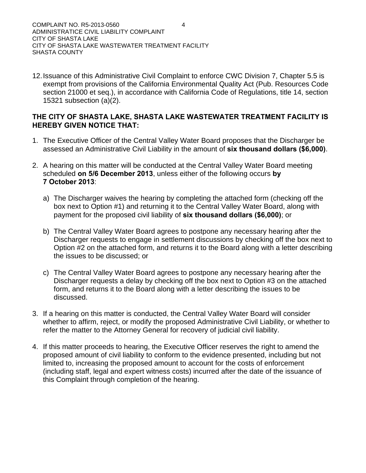12. Issuance of this Administrative Civil Complaint to enforce CWC Division 7, Chapter 5.5 is exempt from provisions of the California Environmental Quality Act (Pub. Resources Code section 21000 et seq.), in accordance with California Code of Regulations, title 14, section 15321 subsection (a)(2).

# **THE CITY OF SHASTA LAKE, SHASTA LAKE WASTEWATER TREATMENT FACILITY IS HEREBY GIVEN NOTICE THAT:**

- 1. The Executive Officer of the Central Valley Water Board proposes that the Discharger be assessed an Administrative Civil Liability in the amount of **six thousand dollars (\$6,000)**.
- 2. A hearing on this matter will be conducted at the Central Valley Water Board meeting scheduled **on 5/6 December 2013**, unless either of the following occurs **by 7 October 2013**:
	- a) The Discharger waives the hearing by completing the attached form (checking off the box next to Option #1) and returning it to the Central Valley Water Board, along with payment for the proposed civil liability of **six thousand dollars (\$6,000)**; or
	- b) The Central Valley Water Board agrees to postpone any necessary hearing after the Discharger requests to engage in settlement discussions by checking off the box next to Option #2 on the attached form, and returns it to the Board along with a letter describing the issues to be discussed; or
	- c) The Central Valley Water Board agrees to postpone any necessary hearing after the Discharger requests a delay by checking off the box next to Option #3 on the attached form, and returns it to the Board along with a letter describing the issues to be discussed.
- 3. If a hearing on this matter is conducted, the Central Valley Water Board will consider whether to affirm, reject, or modify the proposed Administrative Civil Liability, or whether to refer the matter to the Attorney General for recovery of judicial civil liability.
- 4. If this matter proceeds to hearing, the Executive Officer reserves the right to amend the proposed amount of civil liability to conform to the evidence presented, including but not limited to, increasing the proposed amount to account for the costs of enforcement (including staff, legal and expert witness costs) incurred after the date of the issuance of this Complaint through completion of the hearing.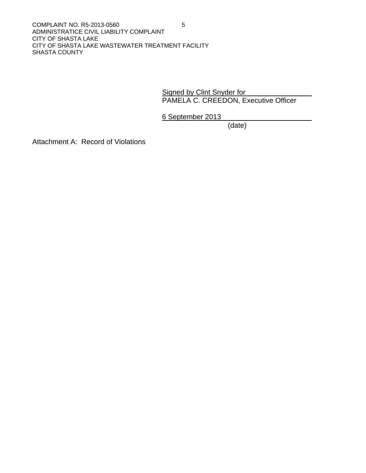Signed by Clint Snyder for PAMELA C. CREEDON, Executive Officer

6 September 2013

(date)

Attachment A: Record of Violations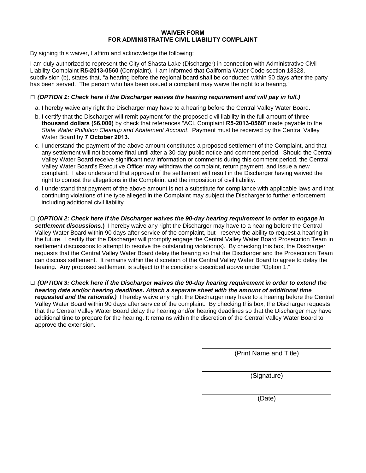#### **WAIVER FORM FOR ADMINISTRATIVE CIVIL LIABILITY COMPLAINT**

By signing this waiver, I affirm and acknowledge the following:

I am duly authorized to represent the City of Shasta Lake (Discharger) in connection with Administrative Civil Liability Complaint **R5-2013-0560 (**Complaint). I am informed that California Water Code section 13323, subdivision (b), states that, "a hearing before the regional board shall be conducted within 90 days after the party has been served. The person who has been issued a complaint may waive the right to a hearing."

#### **□** *(OPTION 1: Check here if the Discharger waives the hearing requirement and will pay in full.)*

- a. I hereby waive any right the Discharger may have to a hearing before the Central Valley Water Board.
- b. I certify that the Discharger will remit payment for the proposed civil liability in the full amount of **three thousand dollars (\$6,000)** by check that references "ACL Complaint **R5-2013-0560**" made payable to the *State Water Pollution Cleanup and Abatement Account*. Payment must be received by the Central Valley Water Board by **7 October 2013.**
- c. I understand the payment of the above amount constitutes a proposed settlement of the Complaint, and that any settlement will not become final until after a 30-day public notice and comment period. Should the Central Valley Water Board receive significant new information or comments during this comment period, the Central Valley Water Board's Executive Officer may withdraw the complaint, return payment, and issue a new complaint. I also understand that approval of the settlement will result in the Discharger having waived the right to contest the allegations in the Complaint and the imposition of civil liability.
- d. I understand that payment of the above amount is not a substitute for compliance with applicable laws and that continuing violations of the type alleged in the Complaint may subject the Discharger to further enforcement, including additional civil liability.
- **□** *(OPTION 2: Check here if the Discharger waives the 90-day hearing requirement in order to engage in settlement discussions***.)** I hereby waive any right the Discharger may have to a hearing before the Central Valley Water Board within 90 days after service of the complaint, but I reserve the ability to request a hearing in the future. I certify that the Discharger will promptly engage the Central Valley Water Board Prosecution Team in settlement discussions to attempt to resolve the outstanding violation(s). By checking this box, the Discharger requests that the Central Valley Water Board delay the hearing so that the Discharger and the Prosecution Team can discuss settlement. It remains within the discretion of the Central Valley Water Board to agree to delay the hearing. Any proposed settlement is subject to the conditions described above under "Option 1."
- **□** *(OPTION 3: Check here if the Discharger waives the 90-day hearing requirement in order to extend the hearing date and/or hearing deadlines. Attach a separate sheet with the amount of additional time requested and the rationale.)* I hereby waive any right the Discharger may have to a hearing before the Central Valley Water Board within 90 days after service of the complaint. By checking this box, the Discharger requests that the Central Valley Water Board delay the hearing and/or hearing deadlines so that the Discharger may have additional time to prepare for the hearing. It remains within the discretion of the Central Valley Water Board to approve the extension.

(Print Name and Title)

(Signature)

(Date)